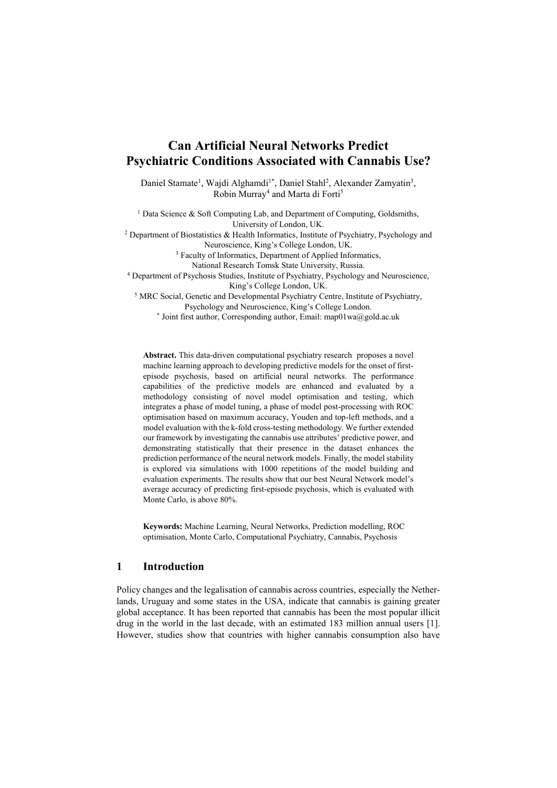# **Can Artificial Neural Networks Predict Psychiatric Conditions Associated with Cannabis Use?**

Daniel Stamate<sup>1</sup>, Wajdi Alghamdi<sup>1\*</sup>, Daniel Stahl<sup>2</sup>, Alexander Zamyatin<sup>3</sup>, Robin Murray<sup>4</sup> and Marta di Forti<sup>5</sup>

<sup>1</sup> Data Science & Soft Computing Lab, and Department of Computing, Goldsmiths, University of London, UK.

<sup>2</sup> Department of [Biostatistics & Health Informatics,](https://kclpure.kcl.ac.uk/portal/en/organisations/biostatistics--health-informatics(843d218e-8612-4ff3-a5c9-b8b1eac7377f).html) Institute of Psychiatry, Psychology and Neuroscience, King's College London, UK.

<sup>3</sup> Faculty of Informatics, Department of Applied Informatics,

National Research Tomsk State University, Russia.

<sup>4</sup> Department of Psychosis Studies, Institute of Psychiatry, Psychology and Neuroscience, King's College London, UK.

<sup>5</sup> MRC Social, Genetic and Developmental Psychiatry Centre, Institute of Psychiatry, Psychology and Neuroscience, King's College London.

\* Joint first author, Corresponding author, Email: map01wa@gold.ac.uk

**Abstract.** This data-driven computational psychiatry research proposes a novel machine learning approach to developing predictive models for the onset of firstepisode psychosis, based on artificial neural networks. The performance capabilities of the predictive models are enhanced and evaluated by a methodology consisting of novel model optimisation and testing, which integrates a phase of model tuning, a phase of model post-processing with ROC optimisation based on maximum accuracy, Youden and top-left methods, and a model evaluation with the k-fold cross-testing methodology. We further extended our framework by investigating the cannabis use attributes' predictive power, and demonstrating statistically that their presence in the dataset enhances the prediction performance of the neural network models. Finally, the model stability is explored via simulations with 1000 repetitions of the model building and evaluation experiments. The results show that our best Neural Network model's average accuracy of predicting first-episode psychosis, which is evaluated with Monte Carlo, is above 80%.

**Keywords:** Machine Learning, Neural Networks, Prediction modelling, ROC optimisation, Monte Carlo, Computational Psychiatry, Cannabis, Psychosis

## **1 Introduction**

Policy changes and the legalisation of cannabis across countries, especially the Netherlands, Uruguay and some states in the USA, indicate that cannabis is gaining greater global acceptance. It has been reported that cannabis has been the most popular illicit drug in the world in the last decade, with an estimated 183 million annual users [1]. However, studies show that countries with higher cannabis consumption also have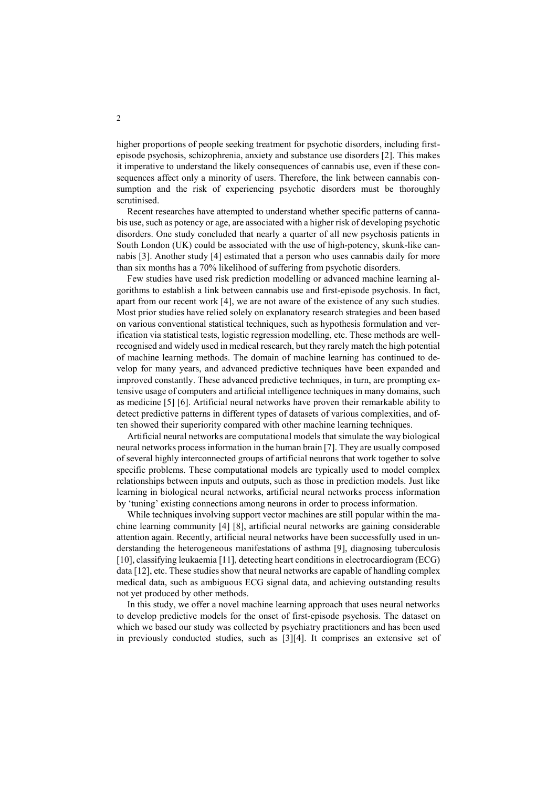higher proportions of people seeking treatment for psychotic disorders, including firstepisode psychosis, schizophrenia, anxiety and substance use disorders [2]. This makes it imperative to understand the likely consequences of cannabis use, even if these consequences affect only a minority of users. Therefore, the link between cannabis consumption and the risk of experiencing psychotic disorders must be thoroughly scrutinised.

Recent researches have attempted to understand whether specific patterns of cannabis use, such as potency or age, are associated with a higher risk of developing psychotic disorders. One study concluded that nearly a quarter of all new psychosis patients in South London (UK) could be associated with the use of high-potency, skunk-like cannabis [3]. Another study [4] estimated that a person who uses cannabis daily for more than six months has a 70% likelihood of suffering from psychotic disorders.

Few studies have used risk prediction modelling or advanced machine learning algorithms to establish a link between cannabis use and first-episode psychosis. In fact, apart from our recent work [4], we are not aware of the existence of any such studies. Most prior studies have relied solely on explanatory research strategies and been based on various conventional statistical techniques, such as hypothesis formulation and verification via statistical tests, logistic regression modelling, etc. These methods are wellrecognised and widely used in medical research, but they rarely match the high potential of machine learning methods. The domain of machine learning has continued to develop for many years, and advanced predictive techniques have been expanded and improved constantly. These advanced predictive techniques, in turn, are prompting extensive usage of computers and artificial intelligence techniques in many domains, such as medicine [5] [6]. Artificial neural networks have proven their remarkable ability to detect predictive patterns in different types of datasets of various complexities, and often showed their superiority compared with other machine learning techniques.

Artificial neural networks are computational models that simulate the way biological neural networks process information in the human brain [7]. They are usually composed of several highly interconnected groups of artificial neurons that work together to solve specific problems. These computational models are typically used to model complex relationships between inputs and outputs, such as those in prediction models. Just like learning in biological neural networks, artificial neural networks process information by 'tuning' existing connections among neurons in order to process information.

While techniques involving support vector machines are still popular within the machine learning community [4] [8], artificial neural networks are gaining considerable attention again. Recently, artificial neural networks have been successfully used in understanding the heterogeneous manifestations of asthma [9], diagnosing tuberculosis [10], classifying leukaemia [11], detecting heart conditions in electrocardiogram (ECG) data [12], etc. These studies show that neural networks are capable of handling complex medical data, such as ambiguous ECG signal data, and achieving outstanding results not yet produced by other methods.

In this study, we offer a novel machine learning approach that uses neural networks to develop predictive models for the onset of first-episode psychosis. The dataset on which we based our study was collected by psychiatry practitioners and has been used in previously conducted studies, such as [3][4]. It comprises an extensive set of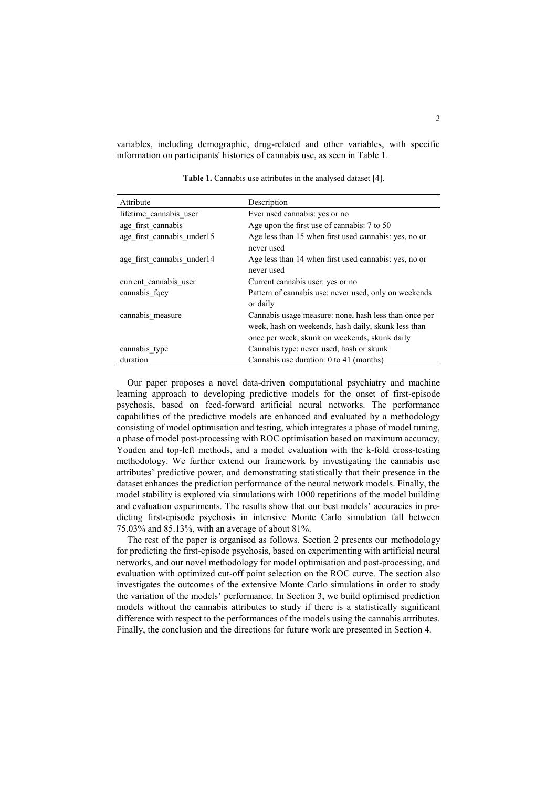variables, including demographic, drug-related and other variables, with specific information on participants' histories of cannabis use, as seen in Table 1.

| Attribute                  | Description                                                                                                                                                   |
|----------------------------|---------------------------------------------------------------------------------------------------------------------------------------------------------------|
| lifetime cannabis user     | Ever used cannabis: yes or no                                                                                                                                 |
| age first cannabis         | Age upon the first use of cannabis: 7 to 50                                                                                                                   |
| age first cannabis under15 | Age less than 15 when first used cannabis: yes, no or<br>never used                                                                                           |
| age first cannabis under14 | Age less than 14 when first used cannabis: yes, no or<br>never used                                                                                           |
| current cannabis user      | Current cannabis user: yes or no                                                                                                                              |
| cannabis fqcy              | Pattern of cannabis use: never used, only on weekends<br>or daily                                                                                             |
| cannabis measure           | Cannabis usage measure: none, hash less than once per<br>week, hash on weekends, hash daily, skunk less than<br>once per week, skunk on weekends, skunk daily |
| cannabis type              | Cannabis type: never used, hash or skunk                                                                                                                      |
| duration                   | Cannabis use duration: 0 to 41 (months)                                                                                                                       |

**Table 1.** Cannabis use attributes in the analysed dataset [4].

Our paper proposes a novel data-driven computational psychiatry and machine learning approach to developing predictive models for the onset of first-episode psychosis, based on feed-forward artificial neural networks. The performance capabilities of the predictive models are enhanced and evaluated by a methodology consisting of model optimisation and testing, which integrates a phase of model tuning, a phase of model post-processing with ROC optimisation based on maximum accuracy, Youden and top-left methods, and a model evaluation with the k-fold cross-testing methodology. We further extend our framework by investigating the cannabis use attributes' predictive power, and demonstrating statistically that their presence in the dataset enhances the prediction performance of the neural network models. Finally, the model stability is explored via simulations with 1000 repetitions of the model building and evaluation experiments. The results show that our best models' accuracies in predicting first-episode psychosis in intensive Monte Carlo simulation fall between 75.03% and 85.13%, with an average of about 81%.

The rest of the paper is organised as follows. Section 2 presents our methodology for predicting the first-episode psychosis, based on experimenting with artificial neural networks, and our novel methodology for model optimisation and post-processing, and evaluation with optimized cut-off point selection on the ROC curve. The section also investigates the outcomes of the extensive Monte Carlo simulations in order to study the variation of the models' performance. In Section 3, we build optimised prediction models without the cannabis attributes to study if there is a statistically significant difference with respect to the performances of the models using the cannabis attributes. Finally, the conclusion and the directions for future work are presented in Section 4.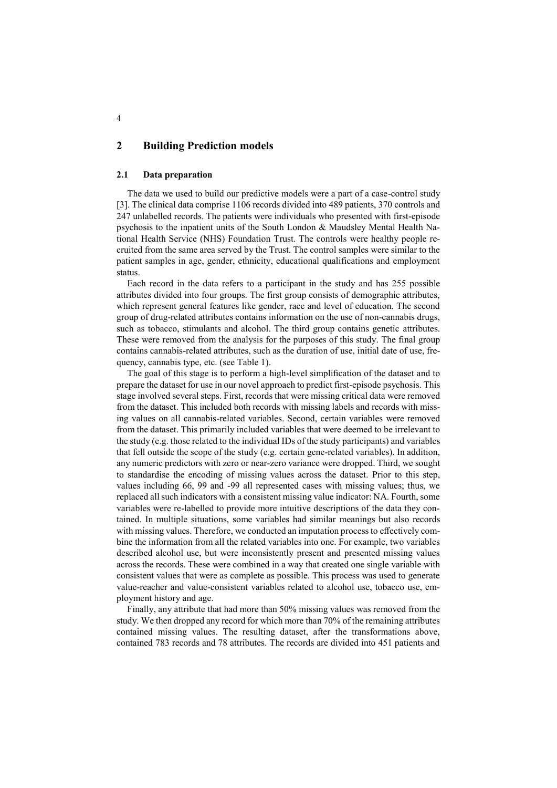# **2 Building Prediction models**

#### **2.1 Data preparation**

The data we used to build our predictive models were a part of a case-control study [3]. The clinical data comprise 1106 records divided into 489 patients, 370 controls and 247 unlabelled records. The patients were individuals who presented with first-episode psychosis to the inpatient units of the South London & Maudsley Mental Health National Health Service (NHS) Foundation Trust. The controls were healthy people recruited from the same area served by the Trust. The control samples were similar to the patient samples in age, gender, ethnicity, educational qualifications and employment status.

Each record in the data refers to a participant in the study and has 255 possible attributes divided into four groups. The first group consists of demographic attributes, which represent general features like gender, race and level of education. The second group of drug-related attributes contains information on the use of non-cannabis drugs, such as tobacco, stimulants and alcohol. The third group contains genetic attributes. These were removed from the analysis for the purposes of this study. The final group contains cannabis-related attributes, such as the duration of use, initial date of use, frequency, cannabis type, etc. (see Table 1).

The goal of this stage is to perform a high-level simplification of the dataset and to prepare the dataset for use in our novel approach to predict first-episode psychosis. This stage involved several steps. First, records that were missing critical data were removed from the dataset. This included both records with missing labels and records with missing values on all cannabis-related variables. Second, certain variables were removed from the dataset. This primarily included variables that were deemed to be irrelevant to the study (e.g. those related to the individual IDs of the study participants) and variables that fell outside the scope of the study (e.g. certain gene-related variables). In addition, any numeric predictors with zero or near-zero variance were dropped. Third, we sought to standardise the encoding of missing values across the dataset. Prior to this step, values including 66, 99 and -99 all represented cases with missing values; thus, we replaced all such indicators with a consistent missing value indicator: NA. Fourth, some variables were re-labelled to provide more intuitive descriptions of the data they contained. In multiple situations, some variables had similar meanings but also records with missing values. Therefore, we conducted an imputation process to effectively combine the information from all the related variables into one. For example, two variables described alcohol use, but were inconsistently present and presented missing values across the records. These were combined in a way that created one single variable with consistent values that were as complete as possible. This process was used to generate value-reacher and value-consistent variables related to alcohol use, tobacco use, employment history and age.

Finally, any attribute that had more than 50% missing values was removed from the study. We then dropped any record for which more than 70% of the remaining attributes contained missing values. The resulting dataset, after the transformations above, contained 783 records and 78 attributes. The records are divided into 451 patients and

4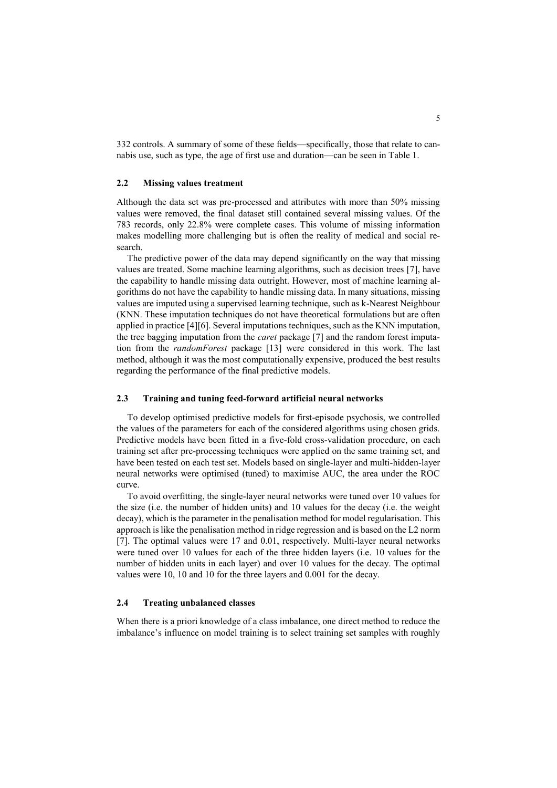332 controls. A summary of some of these fields—specifically, those that relate to cannabis use, such as type, the age of first use and duration—can be seen in Table 1.

#### **2.2 Missing values treatment**

Although the data set was pre-processed and attributes with more than 50% missing values were removed, the final dataset still contained several missing values. Of the 783 records, only 22.8% were complete cases. This volume of missing information makes modelling more challenging but is often the reality of medical and social research.

The predictive power of the data may depend significantly on the way that missing values are treated. Some machine learning algorithms, such as decision trees [7], have the capability to handle missing data outright. However, most of machine learning algorithms do not have the capability to handle missing data. In many situations, missing values are imputed using a supervised learning technique, such as k-Nearest Neighbour (KNN. These imputation techniques do not have theoretical formulations but are often applied in practice [4][6]. Several imputations techniques, such as the KNN imputation, the tree bagging imputation from the *caret* package [7] and the random forest imputation from the *randomForest* package [13] were considered in this work. The last method, although it was the most computationally expensive, produced the best results regarding the performance of the final predictive models.

#### **2.3 Training and tuning feed-forward artificial neural networks**

To develop optimised predictive models for first-episode psychosis, we controlled the values of the parameters for each of the considered algorithms using chosen grids. Predictive models have been fitted in a five-fold cross-validation procedure, on each training set after pre-processing techniques were applied on the same training set, and have been tested on each test set. Models based on single-layer and multi-hidden-layer neural networks were optimised (tuned) to maximise AUC, the area under the ROC curve.

To avoid overfitting, the single-layer neural networks were tuned over 10 values for the size (i.e. the number of hidden units) and 10 values for the decay (i.e. the weight decay), which is the parameter in the penalisation method for model regularisation. This approach is like the penalisation method in ridge regression and is based on the L2 norm [7]. The optimal values were 17 and 0.01, respectively. Multi-layer neural networks were tuned over 10 values for each of the three hidden layers (i.e. 10 values for the number of hidden units in each layer) and over 10 values for the decay. The optimal values were 10, 10 and 10 for the three layers and 0.001 for the decay.

#### **2.4 Treating unbalanced classes**

When there is a priori knowledge of a class imbalance, one direct method to reduce the imbalance's influence on model training is to select training set samples with roughly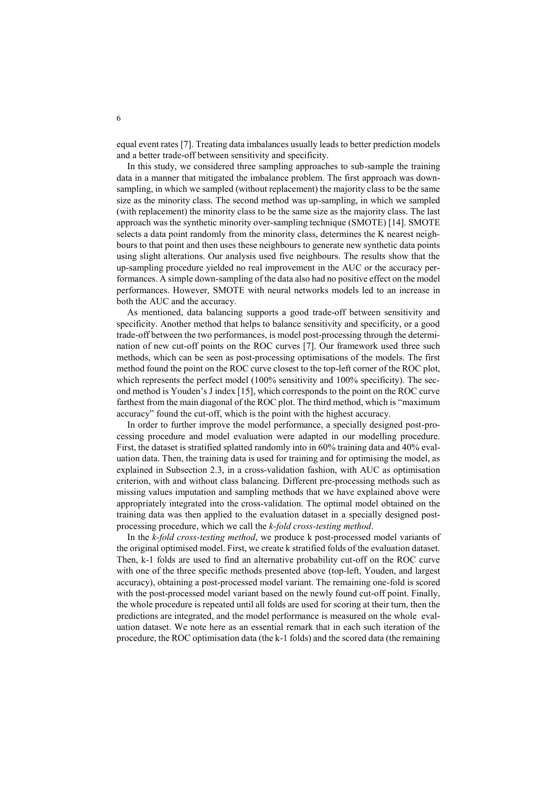equal event rates [7]. Treating data imbalances usually leads to better prediction models and a better trade-off between sensitivity and specificity.

In this study, we considered three sampling approaches to sub-sample the training data in a manner that mitigated the imbalance problem. The first approach was downsampling, in which we sampled (without replacement) the majority class to be the same size as the minority class. The second method was up-sampling, in which we sampled (with replacement) the minority class to be the same size as the majority class. The last approach was the synthetic minority over-sampling technique (SMOTE) [14]. SMOTE selects a data point randomly from the minority class, determines the K nearest neighbours to that point and then uses these neighbours to generate new synthetic data points using slight alterations. Our analysis used five neighbours. The results show that the up-sampling procedure yielded no real improvement in the AUC or the accuracy performances. A simple down-sampling of the data also had no positive effect on the model performances. However, SMOTE with neural networks models led to an increase in both the AUC and the accuracy.

As mentioned, data balancing supports a good trade-off between sensitivity and specificity. Another method that helps to balance sensitivity and specificity, or a good trade-off between the two performances, is model post-processing through the determination of new cut-off points on the ROC curves [7]. Our framework used three such methods, which can be seen as post-processing optimisations of the models. The first method found the point on the ROC curve closest to the top-left corner of the ROC plot, which represents the perfect model (100% sensitivity and 100% specificity). The second method is Youden's J index [15], which corresponds to the point on the ROC curve farthest from the main diagonal of the ROC plot. The third method, which is "maximum accuracy" found the cut-off, which is the point with the highest accuracy.

In order to further improve the model performance, a specially designed post-processing procedure and model evaluation were adapted in our modelling procedure. First, the dataset is stratified splatted randomly into in 60% training data and 40% evaluation data. Then, the training data is used for training and for optimising the model, as explained in Subsection 2.3, in a cross-validation fashion, with AUC as optimisation criterion, with and without class balancing. Different pre-processing methods such as missing values imputation and sampling methods that we have explained above were appropriately integrated into the cross-validation. The optimal model obtained on the training data was then applied to the evaluation dataset in a specially designed postprocessing procedure, which we call the *k-fold cross-testing method*.

In the *k-fold cross-testing method*, we produce k post-processed model variants of the original optimised model. First, we create k stratified folds of the evaluation dataset. Then, k-1 folds are used to find an alternative probability cut-off on the ROC curve with one of the three specific methods presented above (top-left, Youden, and largest accuracy), obtaining a post-processed model variant. The remaining one-fold is scored with the post-processed model variant based on the newly found cut-off point. Finally, the whole procedure is repeated until all folds are used for scoring at their turn, then the predictions are integrated, and the model performance is measured on the whole evaluation dataset. We note here as an essential remark that in each such iteration of the procedure, the ROC optimisation data (the k-1 folds) and the scored data (the remaining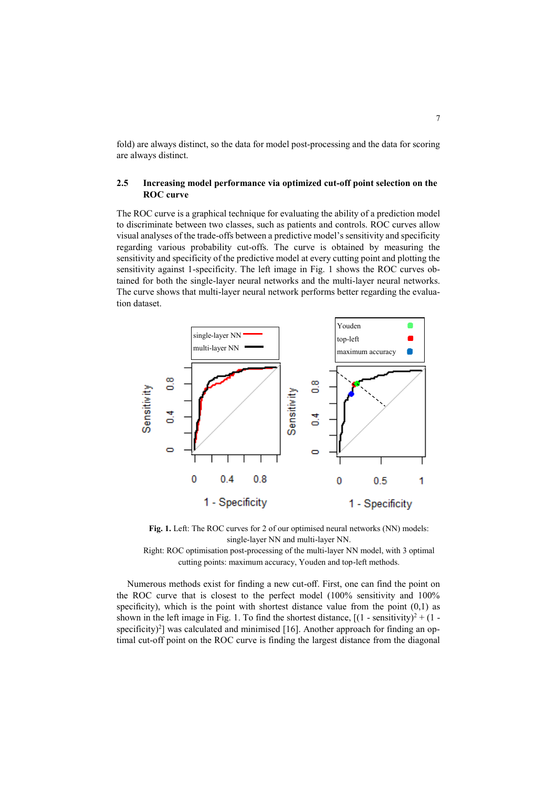fold) are always distinct, so the data for model post-processing and the data for scoring are always distinct.

#### **2.5 Increasing model performance via optimized cut-off point selection on the ROC curve**

The ROC curve is a graphical technique for evaluating the ability of a prediction model to discriminate between two classes, such as patients and controls. ROC curves allow visual analyses of the trade-offs between a predictive model's sensitivity and specificity regarding various probability cut-offs. The curve is obtained by measuring the sensitivity and specificity of the predictive model at every cutting point and plotting the sensitivity against 1-specificity. The left image in Fig. 1 shows the ROC curves obtained for both the single-layer neural networks and the multi-layer neural networks. The curve shows that multi-layer neural network performs better regarding the evaluation dataset.



**Fig. 1.** Left: The ROC curves for 2 of our optimised neural networks (NN) models: single-layer NN and multi-layer NN.

Right: ROC optimisation post-processing of the multi-layer NN model, with 3 optimal cutting points: maximum accuracy, Youden and top-left methods.

Numerous methods exist for finding a new cut-off. First, one can find the point on the ROC curve that is closest to the perfect model (100% sensitivity and 100% specificity), which is the point with shortest distance value from the point  $(0,1)$  as shown in the left image in Fig. 1. To find the shortest distance,  $[(1 - \text{sensitivity})^2 + (1$ specificity)<sup>2</sup>] was calculated and minimised [16]. Another approach for finding an optimal cut-off point on the ROC curve is finding the largest distance from the diagonal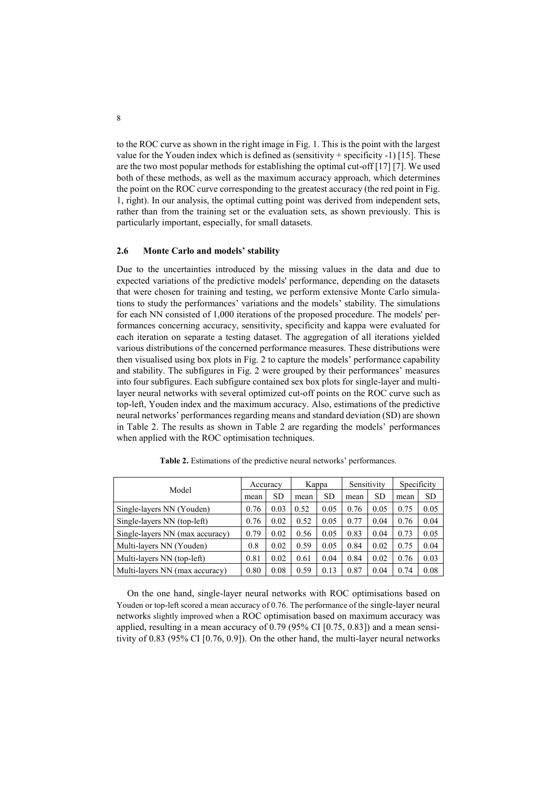to the ROC curve as shown in the right image in Fig. 1. This is the point with the largest value for the Youden index which is defined as (sensitivity  $+$  specificity  $-1$ ) [15]. These are the two most popular methods for establishing the optimal cut-off [17] [7]. We used both of these methods, as well as the maximum accuracy approach, which determines the point on the ROC curve corresponding to the greatest accuracy (the red point in Fig. 1, right). In our analysis, the optimal cutting point was derived from independent sets, rather than from the training set or the evaluation sets, as shown previously. This is particularly important, especially, for small datasets.

#### **2.6 Monte Carlo and models' stability**

Due to the uncertainties introduced by the missing values in the data and due to expected variations of the predictive models' performance, depending on the datasets that were chosen for training and testing, we perform extensive Monte Carlo simulations to study the performances' variations and the models' stability. The simulations for each NN consisted of 1,000 iterations of the proposed procedure. The models' performances concerning accuracy, sensitivity, specificity and kappa were evaluated for each iteration on separate a testing dataset. The aggregation of all iterations yielded various distributions of the concerned performance measures. These distributions were then visualised using box plots in Fig. 2 to capture the models' performance capability and stability. The subfigures in Fig. 2 were grouped by their performances' measures into four subfigures. Each subfigure contained sex box plots for single-layer and multilayer neural networks with several optimized cut-off points on the ROC curve such as top-left, Youden index and the maximum accuracy. Also, estimations of the predictive neural networks' performances regarding means and standard deviation (SD) are shown in Table 2. The results as shown in Table 2 are regarding the models' performances when applied with the ROC optimisation techniques.

| Model                           | Accuracy |           | Kappa |           | Sensitivity |           | Specificity |           |
|---------------------------------|----------|-----------|-------|-----------|-------------|-----------|-------------|-----------|
|                                 | mean     | <b>SD</b> | mean  | <b>SD</b> | mean        | <b>SD</b> | mean        | <b>SD</b> |
| Single-layers NN (Youden)       | 0.76     | 0.03      | 0.52  | 0.05      | 0.76        | 0.05      | 0.75        | 0.05      |
| Single-layers NN (top-left)     | 0.76     | 0.02      | 0.52  | 0.05      | 0.77        | 0.04      | 0.76        | 0.04      |
| Single-layers NN (max accuracy) | 0.79     | 0.02      | 0.56  | 0.05      | 0.83        | 0.04      | 0.73        | 0.05      |
| Multi-layers NN (Youden)        | 0.8      | 0.02      | 0.59  | 0.05      | 0.84        | 0.02      | 0.75        | 0.04      |
| Multi-layers NN (top-left)      | 0.81     | 0.02      | 0.61  | 0.04      | 0.84        | 0.02      | 0.76        | 0.03      |
| Multi-layers NN (max accuracy)  | 0.80     | 0.08      | 0.59  | 0.13      | 0.87        | 0.04      | 0.74        | 0.08      |

**Table 2.** Estimations of the predictive neural networks' performances.

On the one hand, single-layer neural networks with ROC optimisations based on Youden or top-left scored a mean accuracy of 0.76. The performance of the single-layer neural networks slightly improved when a ROC optimisation based on maximum accuracy was applied, resulting in a mean accuracy of 0.79 (95% CI [0.75, 0.83]) and a mean sensitivity of 0.83 (95% CI [0.76, 0.9]). On the other hand, the multi-layer neural networks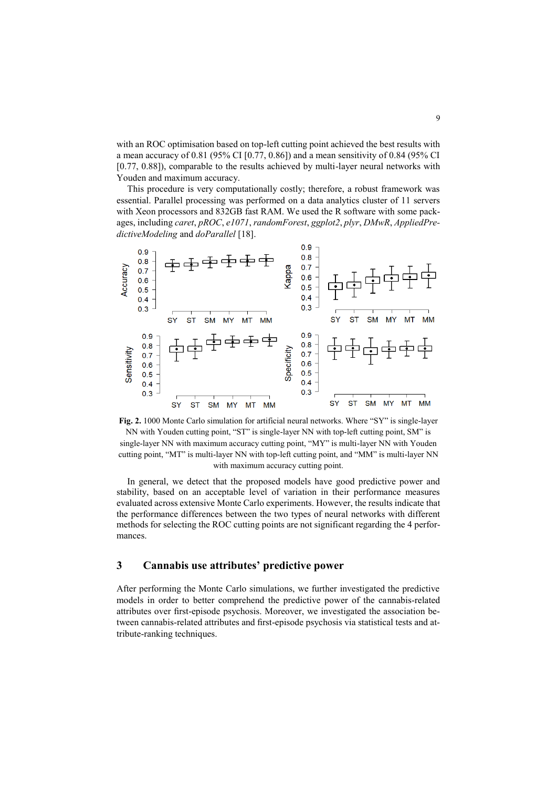with an ROC optimisation based on top-left cutting point achieved the best results with a mean accuracy of 0.81 (95% CI [0.77, 0.86]) and a mean sensitivity of 0.84 (95% CI [0.77, 0.88]), comparable to the results achieved by multi-layer neural networks with Youden and maximum accuracy.

This procedure is very computationally costly; therefore, a robust framework was essential. Parallel processing was performed on a data analytics cluster of 11 servers with Xeon processors and 832GB fast RAM. We used the R software with some packages, including *caret*, *pROC*, *e1071*, *randomForest*, *ggplot2*, *plyr*, *DMwR*, *AppliedPredictiveModeling* and *doParallel* [18].



**Fig. 2.** 1000 Monte Carlo simulation for artificial neural networks. Where "SY" is single-layer NN with Youden cutting point, "ST" is single-layer NN with top-left cutting point, SM" is single-layer NN with maximum accuracy cutting point, "MY" is multi-layer NN with Youden cutting point, "MT" is multi-layer NN with top-left cutting point, and "MM" is multi-layer NN with maximum accuracy cutting point.

In general, we detect that the proposed models have good predictive power and stability, based on an acceptable level of variation in their performance measures evaluated across extensive Monte Carlo experiments. However, the results indicate that the performance differences between the two types of neural networks with different methods for selecting the ROC cutting points are not significant regarding the 4 performances.

## **3 Cannabis use attributes' predictive power**

After performing the Monte Carlo simulations, we further investigated the predictive models in order to better comprehend the predictive power of the cannabis-related attributes over first-episode psychosis. Moreover, we investigated the association between cannabis-related attributes and first-episode psychosis via statistical tests and attribute-ranking techniques.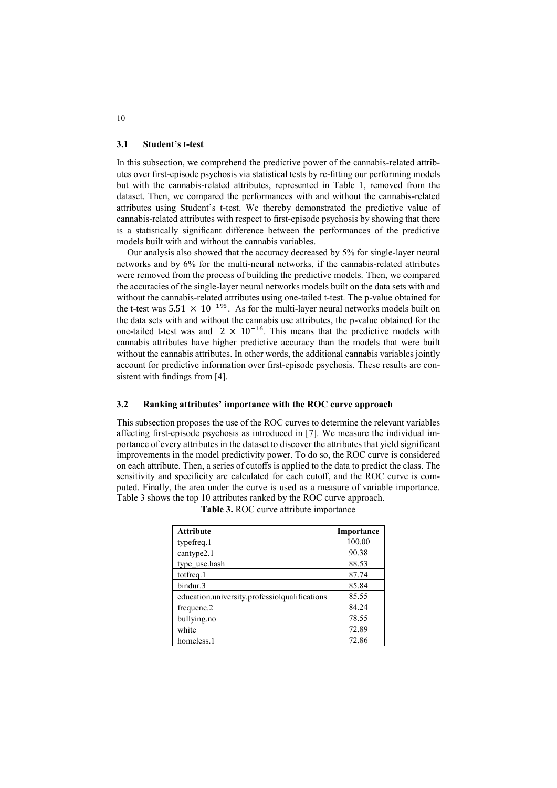#### **3.1 Student's t-test**

In this subsection, we comprehend the predictive power of the cannabis-related attributes over first-episode psychosis via statistical tests by re-fitting our performing models but with the cannabis-related attributes, represented in Table 1, removed from the dataset. Then, we compared the performances with and without the cannabis-related attributes using Student's t-test. We thereby demonstrated the predictive value of cannabis-related attributes with respect to first-episode psychosis by showing that there is a statistically significant difference between the performances of the predictive models built with and without the cannabis variables.

Our analysis also showed that the accuracy decreased by 5% for single-layer neural networks and by 6% for the multi-neural networks, if the cannabis-related attributes were removed from the process of building the predictive models. Then, we compared the accuracies of the single-layer neural networks models built on the data sets with and without the cannabis-related attributes using one-tailed t-test. The p-value obtained for the t-test was  $5.51 \times 10^{-195}$ . As for the multi-layer neural networks models built on the data sets with and without the cannabis use attributes, the p-value obtained for the one-tailed t-test was and  $2 \times 10^{-16}$ . This means that the predictive models with cannabis attributes have higher predictive accuracy than the models that were built without the cannabis attributes. In other words, the additional cannabis variables jointly account for predictive information over first-episode psychosis. These results are consistent with findings from [4].

#### **3.2 Ranking attributes' importance with the ROC curve approach**

This subsection proposes the use of the ROC curves to determine the relevant variables affecting first-episode psychosis as introduced in [7]. We measure the individual importance of every attributes in the dataset to discover the attributes that yield significant improvements in the model predictivity power. To do so, the ROC curve is considered on each attribute. Then, a series of cutoffs is applied to the data to predict the class. The sensitivity and specificity are calculated for each cutoff, and the ROC curve is computed. Finally, the area under the curve is used as a measure of variable importance. Table 3 shows the top 10 attributes ranked by the ROC curve approach.

| <b>Attribute</b>                              | Importance |  |  |
|-----------------------------------------------|------------|--|--|
| typefreq.1                                    | 100.00     |  |  |
| cantype2.1                                    | 90.38      |  |  |
| type use.hash                                 | 88.53      |  |  |
| totfreq.1                                     | 87.74      |  |  |
| bindur.3                                      | 85.84      |  |  |
| education.university.professiolqualifications | 85.55      |  |  |
| frequenc.2                                    | 84.24      |  |  |
| bullying.no                                   | 78.55      |  |  |
| white                                         | 72.89      |  |  |
| homeless.1                                    | 72.86      |  |  |

**Table 3.** ROC curve attribute importance

10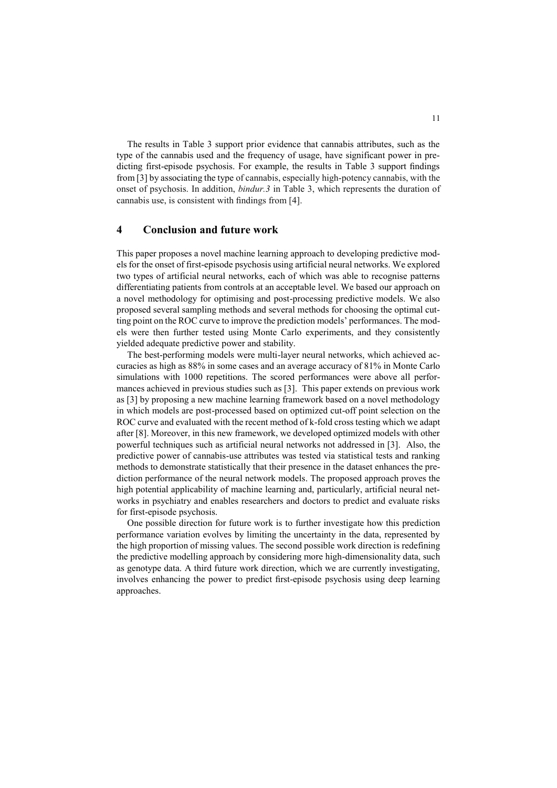The results in Table 3 support prior evidence that cannabis attributes, such as the type of the cannabis used and the frequency of usage, have significant power in predicting first-episode psychosis. For example, the results in Table 3 support findings from [3] by associating the type of cannabis, especially high-potency cannabis, with the onset of psychosis. In addition, *bindur.3* in Table 3, which represents the duration of cannabis use, is consistent with findings from [4].

# **4 Conclusion and future work**

This paper proposes a novel machine learning approach to developing predictive models for the onset of first-episode psychosis using artificial neural networks. We explored two types of artificial neural networks, each of which was able to recognise patterns differentiating patients from controls at an acceptable level. We based our approach on a novel methodology for optimising and post-processing predictive models. We also proposed several sampling methods and several methods for choosing the optimal cutting point on the ROC curve to improve the prediction models' performances. The models were then further tested using Monte Carlo experiments, and they consistently yielded adequate predictive power and stability.

The best-performing models were multi-layer neural networks, which achieved accuracies as high as 88% in some cases and an average accuracy of 81% in Monte Carlo simulations with 1000 repetitions. The scored performances were above all performances achieved in previous studies such as [3]. This paper extends on previous work as [3] by proposing a new machine learning framework based on a novel methodology in which models are post-processed based on optimized cut-off point selection on the ROC curve and evaluated with the recent method of k-fold cross testing which we adapt after [8]. Moreover, in this new framework, we developed optimized models with other powerful techniques such as artificial neural networks not addressed in [3]. Also, the predictive power of cannabis-use attributes was tested via statistical tests and ranking methods to demonstrate statistically that their presence in the dataset enhances the prediction performance of the neural network models. The proposed approach proves the high potential applicability of machine learning and, particularly, artificial neural networks in psychiatry and enables researchers and doctors to predict and evaluate risks for first-episode psychosis.

One possible direction for future work is to further investigate how this prediction performance variation evolves by limiting the uncertainty in the data, represented by the high proportion of missing values. The second possible work direction is redefining the predictive modelling approach by considering more high-dimensionality data, such as genotype data. A third future work direction, which we are currently investigating, involves enhancing the power to predict first-episode psychosis using deep learning approaches.